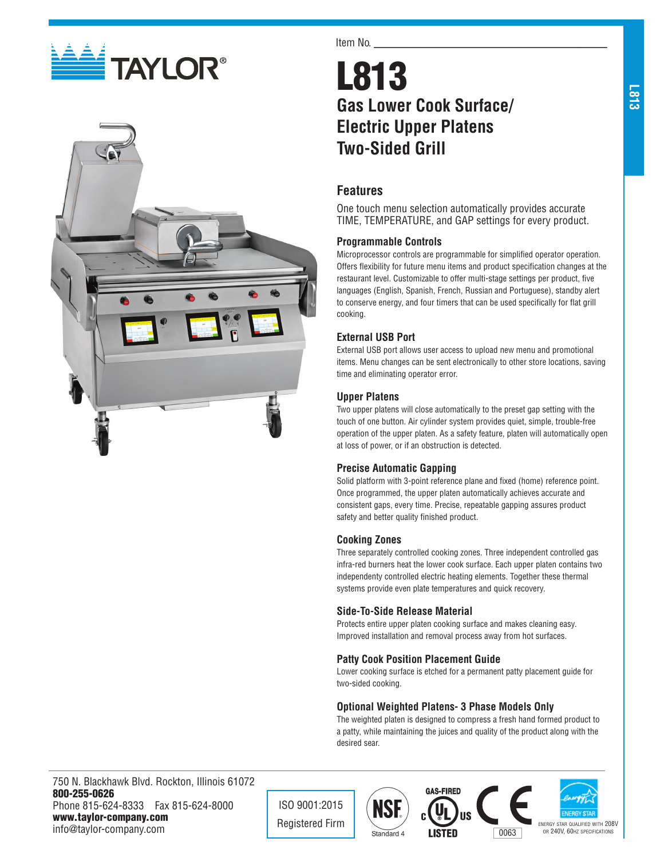



#### Item No.

# L813 **Gas Lower Cook Surface/ Electric Upper Platens Two-Sided Grill**

# **Features**

One touch menu selection automatically provides accurate TIME, TEMPERATURE, and GAP settings for every product.

### **Programmable Controls**

Microprocessor controls are programmable for simplified operator operation. Offers flexibility for future menu items and product specification changes at the restaurant level. Customizable to offer multi-stage settings per product, five languages (English, Spanish, French, Russian and Portuguese), standby alert to conserve energy, and four timers that can be used specifically for flat grill cooking.

# **External USB Port**

External USB port allows user access to upload new menu and promotional items. Menu changes can be sent electronically to other store locations, saving time and eliminating operator error.

### **Upper Platens**

Two upper platens will close automatically to the preset gap setting with the touch of one button. Air cylinder system provides quiet, simple, trouble-free operation of the upper platen. As a safety feature, platen will automatically open at loss of power, or if an obstruction is detected.

### **Precise Automatic Gapping**

Solid platform with 3-point reference plane and fixed (home) reference point. Once programmed, the upper platen automatically achieves accurate and consistent gaps, every time. Precise, repeatable gapping assures product safety and better quality finished product.

#### **Cooking Zones**

Three separately controlled cooking zones. Three independent controlled gas infra-red burners heat the lower cook surface. Each upper platen contains two independenty controlled electric heating elements. Together these thermal systems provide even plate temperatures and quick recovery.

### **Side-To-Side Release Material**

Protects entire upper platen cooking surface and makes cleaning easy. Improved installation and removal process away from hot surfaces.

### **Patty Cook Position Placement Guide**

Lower cooking surface is etched for a permanent patty placement guide for two-sided cooking.

### **Optional Weighted Platens- 3 Phase Models Only**

The weighted platen is designed to compress a fresh hand formed product to a patty, while maintaining the juices and quality of the product along with the desired sear.

750 N. Blackhawk Blvd. Rockton, Illinois 61072 800-255-0626 Phone 815-624-8333 Fax 815-624-8000 www.taylor-company.com info@taylor-company.com

ISO 9001:2015







**L813**